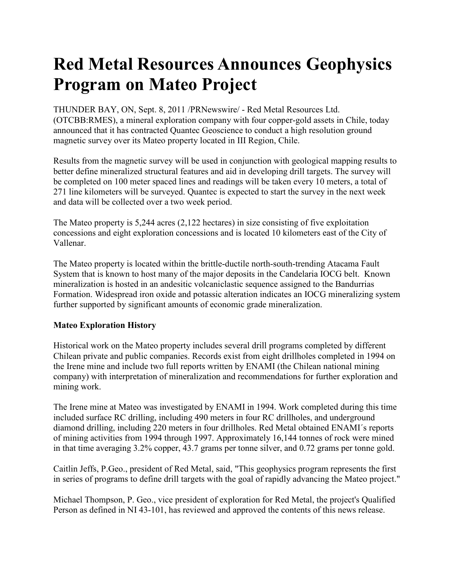## **Red Metal Resources Announces Geophysics Program on Mateo Project**

THUNDER BAY, ON, Sept. 8, 2011 /PRNewswire/ - Red Metal Resources Ltd. (OTCBB:RMES), a mineral exploration company with four copper-gold assets in Chile, today announced that it has contracted Quantec Geoscience to conduct a high resolution ground magnetic survey over its Mateo property located in III Region, Chile.

Results from the magnetic survey will be used in conjunction with geological mapping results to better define mineralized structural features and aid in developing drill targets. The survey will be completed on 100 meter spaced lines and readings will be taken every 10 meters, a total of 271 line kilometers will be surveyed. Quantec is expected to start the survey in the next week and data will be collected over a two week period.

The Mateo property is 5,244 acres (2,122 hectares) in size consisting of five exploitation concessions and eight exploration concessions and is located 10 kilometers east of the City of Vallenar.

The Mateo property is located within the brittle-ductile north-south-trending Atacama Fault System that is known to host many of the major deposits in the Candelaria IOCG belt. Known mineralization is hosted in an andesitic volcaniclastic sequence assigned to the Bandurrias Formation. Widespread iron oxide and potassic alteration indicates an IOCG mineralizing system further supported by significant amounts of economic grade mineralization.

## **Mateo Exploration History**

Historical work on the Mateo property includes several drill programs completed by different Chilean private and public companies. Records exist from eight drillholes completed in 1994 on the Irene mine and include two full reports written by ENAMI (the Chilean national mining company) with interpretation of mineralization and recommendations for further exploration and mining work.

The Irene mine at Mateo was investigated by ENAMI in 1994. Work completed during this time included surface RC drilling, including 490 meters in four RC drillholes, and underground diamond drilling, including 220 meters in four drillholes. Red Metal obtained ENAMI´s reports of mining activities from 1994 through 1997. Approximately 16,144 tonnes of rock were mined in that time averaging 3.2% copper, 43.7 grams per tonne silver, and 0.72 grams per tonne gold.

Caitlin Jeffs, P.Geo., president of Red Metal, said, "This geophysics program represents the first in series of programs to define drill targets with the goal of rapidly advancing the Mateo project."

Michael Thompson, P. Geo., vice president of exploration for Red Metal, the project's Qualified Person as defined in NI 43-101, has reviewed and approved the contents of this news release.